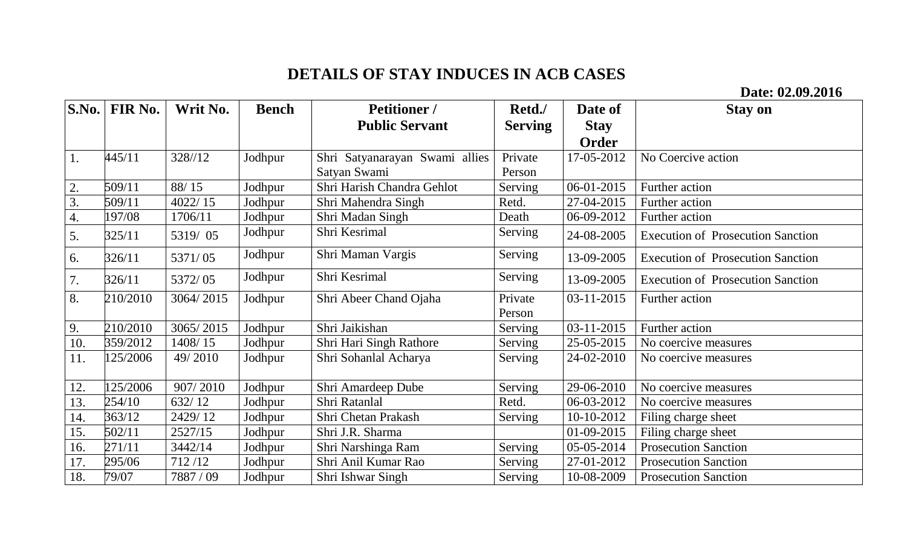## **DETAILS OF STAY INDUCES IN ACB CASES**

**Date: 02.09.2016**

| S.No.              | FIR No.  | Writ No.  | <b>Bench</b> | <b>Petitioner</b> /            | Retd./         | Date of     | <b>Stay on</b>                           |
|--------------------|----------|-----------|--------------|--------------------------------|----------------|-------------|------------------------------------------|
|                    |          |           |              | <b>Public Servant</b>          | <b>Serving</b> | <b>Stay</b> |                                          |
|                    |          |           |              |                                |                | Order       |                                          |
| 1.                 | 445/11   | 328//12   | Jodhpur      | Shri Satyanarayan Swami allies | Private        | 17-05-2012  | No Coercive action                       |
|                    |          |           |              | Satyan Swami                   | Person         |             |                                          |
| 2.                 | 509/11   | 88/15     | Jodhpur      | Shri Harish Chandra Gehlot     | Serving        | 06-01-2015  | Further action                           |
| 3.                 | 509/11   | 4022/15   | Jodhpur      | Shri Mahendra Singh            | Retd.          | 27-04-2015  | Further action                           |
| $\boldsymbol{4}$ . | 197/08   | 1706/11   | Jodhpur      | Shri Madan Singh               | Death          | 06-09-2012  | Further action                           |
| 5.                 | 325/11   | 5319/05   | Jodhpur      | Shri Kesrimal                  | Serving        | 24-08-2005  | <b>Execution of Prosecution Sanction</b> |
| 6.                 | 326/11   | 5371/05   | Jodhpur      | Shri Maman Vargis              | Serving        | 13-09-2005  | <b>Execution of Prosecution Sanction</b> |
| 7.                 | 326/11   | 5372/05   | Jodhpur      | Shri Kesrimal                  | Serving        | 13-09-2005  | <b>Execution of Prosecution Sanction</b> |
| 8.                 | 210/2010 | 3064/2015 | Jodhpur      | Shri Abeer Chand Ojaha         | Private        | 03-11-2015  | Further action                           |
|                    |          |           |              |                                | Person         |             |                                          |
| 9.                 | 210/2010 | 3065/2015 | Jodhpur      | Shri Jaikishan                 | Serving        | 03-11-2015  | Further action                           |
| 10.                | 359/2012 | 1408/15   | Jodhpur      | Shri Hari Singh Rathore        | Serving        | 25-05-2015  | No coercive measures                     |
| 11.                | 125/2006 | 49/2010   | Jodhpur      | Shri Sohanlal Acharya          | Serving        | 24-02-2010  | No coercive measures                     |
| 12.                | 125/2006 | 907/2010  | Jodhpur      | Shri Amardeep Dube             | Serving        | 29-06-2010  | No coercive measures                     |
| 13.                | 254/10   | 632/12    | Jodhpur      | Shri Ratanlal                  | Retd.          | 06-03-2012  | No coercive measures                     |
| 14.                | 363/12   | 2429/12   | Jodhpur      | Shri Chetan Prakash            | Serving        | 10-10-2012  | Filing charge sheet                      |
| 15.                | 502/11   | 2527/15   | Jodhpur      | Shri J.R. Sharma               |                | 01-09-2015  | Filing charge sheet                      |
| 16.                | 271/11   | 3442/14   | Jodhpur      | Shri Narshinga Ram             | Serving        | 05-05-2014  | <b>Prosecution Sanction</b>              |
| 17.                | 295/06   | 712/12    | Jodhpur      | Shri Anil Kumar Rao            | Serving        | 27-01-2012  | <b>Prosecution Sanction</b>              |
| 18.                | 79/07    | 7887 / 09 | Jodhpur      | Shri Ishwar Singh              | Serving        | 10-08-2009  | <b>Prosecution Sanction</b>              |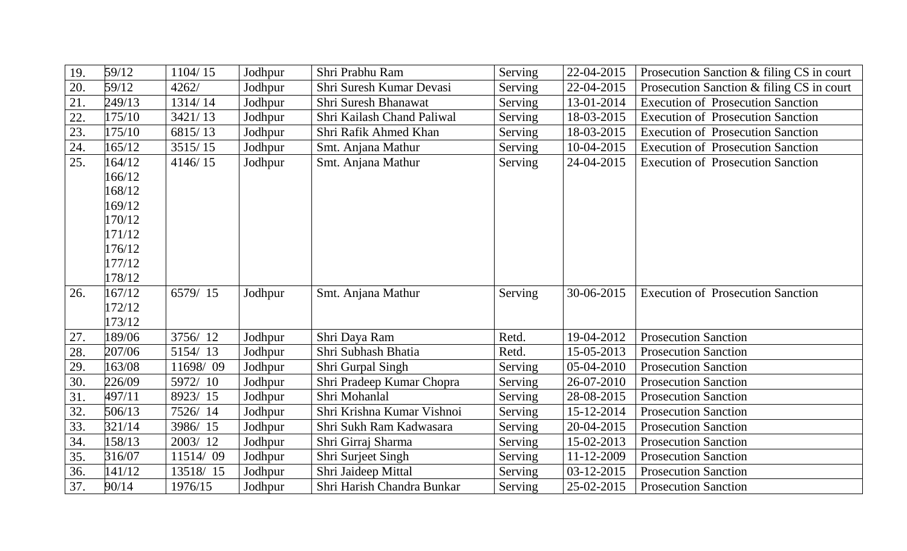| 19. | 59/12  | 1104/15  | Jodhpur | Shri Prabhu Ram            | Serving | 22-04-2015 | Prosecution Sanction & filing CS in court |
|-----|--------|----------|---------|----------------------------|---------|------------|-------------------------------------------|
| 20. | 59/12  | 4262/    | Jodhpur | Shri Suresh Kumar Devasi   | Serving | 22-04-2015 | Prosecution Sanction & filing CS in court |
| 21. | 249/13 | 1314/14  | Jodhpur | Shri Suresh Bhanawat       | Serving | 13-01-2014 | <b>Execution of Prosecution Sanction</b>  |
| 22. | 175/10 | 3421/13  | Jodhpur | Shri Kailash Chand Paliwal | Serving | 18-03-2015 | <b>Execution of Prosecution Sanction</b>  |
| 23. | 175/10 | 6815/13  | Jodhpur | Shri Rafik Ahmed Khan      | Serving | 18-03-2015 | <b>Execution of Prosecution Sanction</b>  |
| 24. | 165/12 | 3515/15  | Jodhpur | Smt. Anjana Mathur         | Serving | 10-04-2015 | <b>Execution of Prosecution Sanction</b>  |
| 25. | 164/12 | 4146/15  | Jodhpur | Smt. Anjana Mathur         | Serving | 24-04-2015 | <b>Execution of Prosecution Sanction</b>  |
|     | 166/12 |          |         |                            |         |            |                                           |
|     | 168/12 |          |         |                            |         |            |                                           |
|     | 169/12 |          |         |                            |         |            |                                           |
|     | 170/12 |          |         |                            |         |            |                                           |
|     | 171/12 |          |         |                            |         |            |                                           |
|     | 176/12 |          |         |                            |         |            |                                           |
|     | 177/12 |          |         |                            |         |            |                                           |
|     | 178/12 |          |         |                            |         |            |                                           |
| 26. | 167/12 | 6579/15  | Jodhpur | Smt. Anjana Mathur         | Serving | 30-06-2015 | <b>Execution of Prosecution Sanction</b>  |
|     | 172/12 |          |         |                            |         |            |                                           |
|     | 173/12 |          |         |                            |         |            |                                           |
| 27. | 189/06 | 3756/12  | Jodhpur | Shri Daya Ram              | Retd.   | 19-04-2012 | <b>Prosecution Sanction</b>               |
| 28. | 207/06 | 5154/13  | Jodhpur | Shri Subhash Bhatia        | Retd.   | 15-05-2013 | <b>Prosecution Sanction</b>               |
| 29. | 163/08 | 11698/09 | Jodhpur | Shri Gurpal Singh          | Serving | 05-04-2010 | <b>Prosecution Sanction</b>               |
| 30. | 226/09 | 5972/10  | Jodhpur | Shri Pradeep Kumar Chopra  | Serving | 26-07-2010 | <b>Prosecution Sanction</b>               |
| 31. | 497/11 | 8923/15  | Jodhpur | Shri Mohanlal              | Serving | 28-08-2015 | <b>Prosecution Sanction</b>               |
| 32. | 506/13 | 7526/14  | Jodhpur | Shri Krishna Kumar Vishnoi | Serving | 15-12-2014 | <b>Prosecution Sanction</b>               |
| 33. | 321/14 | 3986/15  | Jodhpur | Shri Sukh Ram Kadwasara    | Serving | 20-04-2015 | <b>Prosecution Sanction</b>               |
| 34. | 158/13 | 2003/12  | Jodhpur | Shri Girraj Sharma         | Serving | 15-02-2013 | <b>Prosecution Sanction</b>               |
| 35. | 316/07 | 11514/09 | Jodhpur | Shri Surjeet Singh         | Serving | 11-12-2009 | <b>Prosecution Sanction</b>               |
| 36. | 141/12 | 13518/15 | Jodhpur | Shri Jaideep Mittal        | Serving | 03-12-2015 | <b>Prosecution Sanction</b>               |
| 37. | 90/14  | 1976/15  | Jodhpur | Shri Harish Chandra Bunkar | Serving | 25-02-2015 | <b>Prosecution Sanction</b>               |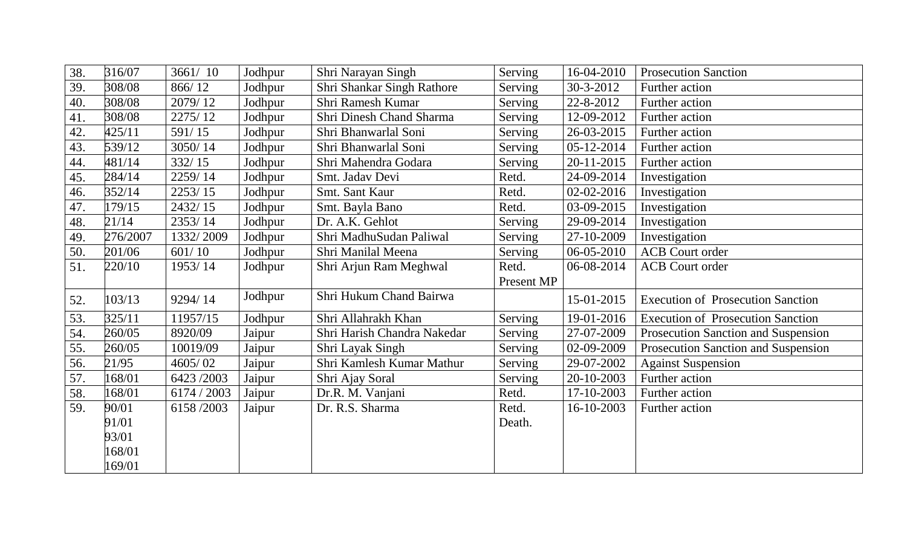| 38. | 316/07   | 3661/10     | Jodhpur | Shri Narayan Singh          | Serving    | 16-04-2010 | <b>Prosecution Sanction</b>              |
|-----|----------|-------------|---------|-----------------------------|------------|------------|------------------------------------------|
| 39. | 308/08   | 866/12      | Jodhpur | Shri Shankar Singh Rathore  | Serving    | 30-3-2012  | Further action                           |
| 40. | 308/08   | 2079/12     | Jodhpur | Shri Ramesh Kumar           | Serving    | 22-8-2012  | Further action                           |
| 41. | 308/08   | 2275/12     | Jodhpur | Shri Dinesh Chand Sharma    | Serving    | 12-09-2012 | Further action                           |
| 42. | 425/11   | 591/15      | Jodhpur | Shri Bhanwarlal Soni        | Serving    | 26-03-2015 | Further action                           |
| 43. | 539/12   | 3050/14     | Jodhpur | Shri Bhanwarlal Soni        | Serving    | 05-12-2014 | Further action                           |
| 44. | 481/14   | 332/15      | Jodhpur | Shri Mahendra Godara        | Serving    | 20-11-2015 | Further action                           |
| 45. | 284/14   | 2259/14     | Jodhpur | Smt. Jadav Devi             | Retd.      | 24-09-2014 | Investigation                            |
| 46. | 352/14   | 2253/15     | Jodhpur | Smt. Sant Kaur              | Retd.      | 02-02-2016 | Investigation                            |
| 47. | 179/15   | 2432/15     | Jodhpur | Smt. Bayla Bano             | Retd.      | 03-09-2015 | Investigation                            |
| 48. | 21/14    | 2353/14     | Jodhpur | Dr. A.K. Gehlot             | Serving    | 29-09-2014 | Investigation                            |
| 49. | 276/2007 | 1332/2009   | Jodhpur | Shri MadhuSudan Paliwal     | Serving    | 27-10-2009 | Investigation                            |
| 50. | 201/06   | 601/10      | Jodhpur | Shri Manilal Meena          | Serving    | 06-05-2010 | <b>ACB</b> Court order                   |
| 51. | 220/10   | 1953/14     | Jodhpur | Shri Arjun Ram Meghwal      | Retd.      | 06-08-2014 | <b>ACB</b> Court order                   |
|     |          |             |         |                             | Present MP |            |                                          |
| 52. | 103/13   | 9294/14     | Jodhpur | Shri Hukum Chand Bairwa     |            | 15-01-2015 | <b>Execution of Prosecution Sanction</b> |
| 53. | 325/11   | 11957/15    | Jodhpur | Shri Allahrakh Khan         | Serving    | 19-01-2016 | <b>Execution of Prosecution Sanction</b> |
| 54. | 260/05   | 8920/09     | Jaipur  | Shri Harish Chandra Nakedar | Serving    | 27-07-2009 | Prosecution Sanction and Suspension      |
| 55. | 260/05   | 10019/09    | Jaipur  | Shri Layak Singh            | Serving    | 02-09-2009 | Prosecution Sanction and Suspension      |
| 56. | 21/95    | 4605/02     | Jaipur  | Shri Kamlesh Kumar Mathur   | Serving    | 29-07-2002 | <b>Against Suspension</b>                |
| 57. | 168/01   | 6423/2003   | Jaipur  | Shri Ajay Soral             | Serving    | 20-10-2003 | Further action                           |
| 58. | 168/01   | 6174 / 2003 | Jaipur  | Dr.R. M. Vanjani            | Retd.      | 17-10-2003 | Further action                           |
| 59. | 90/01    | 6158/2003   | Jaipur  | Dr. R.S. Sharma             | Retd.      | 16-10-2003 | Further action                           |
|     | 91/01    |             |         |                             | Death.     |            |                                          |
|     | 93/01    |             |         |                             |            |            |                                          |
|     | 168/01   |             |         |                             |            |            |                                          |
|     | 169/01   |             |         |                             |            |            |                                          |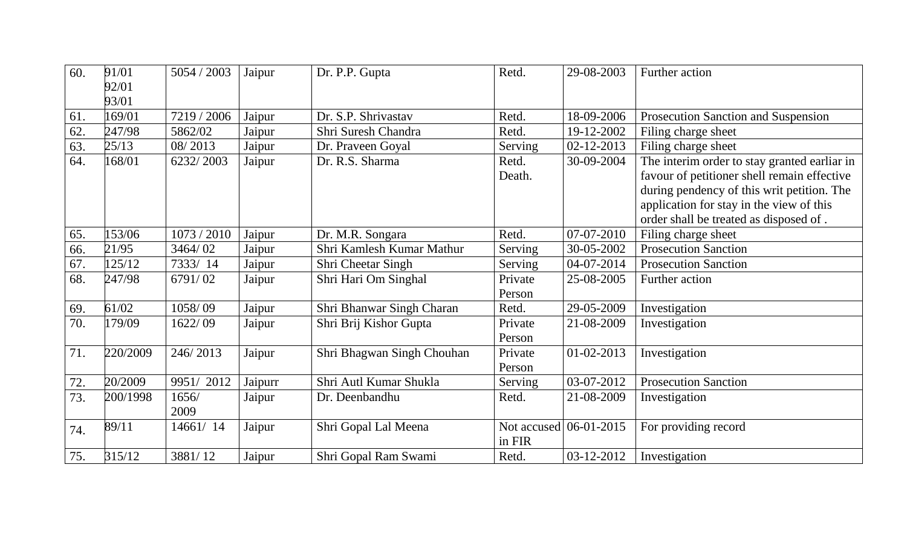| 60. | 91/01    | 5054 / 2003 | Jaipur  | Dr. P.P. Gupta             | Retd.       | 29-08-2003               | Further action                               |
|-----|----------|-------------|---------|----------------------------|-------------|--------------------------|----------------------------------------------|
|     | 92/01    |             |         |                            |             |                          |                                              |
|     | 93/01    |             |         |                            |             |                          |                                              |
| 61. | 169/01   | 7219 / 2006 | Jaipur  | Dr. S.P. Shrivastav        | Retd.       | 18-09-2006               | Prosecution Sanction and Suspension          |
| 62. | 247/98   | 5862/02     | Jaipur  | Shri Suresh Chandra        | Retd.       | 19-12-2002               | Filing charge sheet                          |
| 63. | 25/13    | 08/2013     | Jaipur  | Dr. Praveen Goyal          | Serving     | 02-12-2013               | Filing charge sheet                          |
| 64. | 168/01   | 6232/2003   | Jaipur  | Dr. R.S. Sharma            | Retd.       | 30-09-2004               | The interim order to stay granted earliar in |
|     |          |             |         |                            | Death.      |                          | favour of petitioner shell remain effective  |
|     |          |             |         |                            |             |                          | during pendency of this writ petition. The   |
|     |          |             |         |                            |             |                          | application for stay in the view of this     |
|     |          |             |         |                            |             |                          | order shall be treated as disposed of.       |
| 65. | 153/06   | 1073 / 2010 | Jaipur  | Dr. M.R. Songara           | Retd.       | $\overline{07}$ -07-2010 | Filing charge sheet                          |
| 66. | 21/95    | 3464/02     | Jaipur  | Shri Kamlesh Kumar Mathur  | Serving     | 30-05-2002               | <b>Prosecution Sanction</b>                  |
| 67. | 125/12   | 7333/14     | Jaipur  | Shri Cheetar Singh         | Serving     | 04-07-2014               | <b>Prosecution Sanction</b>                  |
| 68. | 247/98   | 6791/02     | Jaipur  | Shri Hari Om Singhal       | Private     | 25-08-2005               | Further action                               |
|     |          |             |         |                            | Person      |                          |                                              |
| 69. | 61/02    | 1058/09     | Jaipur  | Shri Bhanwar Singh Charan  | Retd.       | 29-05-2009               | Investigation                                |
| 70. | 179/09   | 1622/09     | Jaipur  | Shri Brij Kishor Gupta     | Private     | 21-08-2009               | Investigation                                |
|     |          |             |         |                            | Person      |                          |                                              |
| 71. | 220/2009 | 246/2013    | Jaipur  | Shri Bhagwan Singh Chouhan | Private     | $01 - 02 - 2013$         | Investigation                                |
|     |          |             |         |                            | Person      |                          |                                              |
| 72. | 20/2009  | 9951/2012   | Jaipurr | Shri Autl Kumar Shukla     | Serving     | 03-07-2012               | <b>Prosecution Sanction</b>                  |
| 73. | 200/1998 | 1656/       | Jaipur  | Dr. Deenbandhu             | Retd.       | 21-08-2009               | Investigation                                |
|     |          | 2009        |         |                            |             |                          |                                              |
| 74. | 89/11    | 14661/14    | Jaipur  | Shri Gopal Lal Meena       | Not accused | 06-01-2015               | For providing record                         |
|     |          |             |         |                            | in FIR      |                          |                                              |
| 75. | 315/12   | 3881/12     | Jaipur  | Shri Gopal Ram Swami       | Retd.       | 03-12-2012               | Investigation                                |